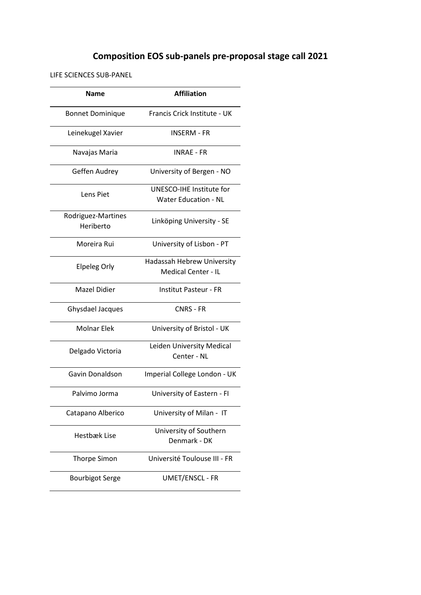## **Composition EOS sub-panels pre-proposal stage call 2021**

LIFE SCIENCES SUB-PANEL

| <b>Name</b>                     | <b>Affiliation</b>                                       |
|---------------------------------|----------------------------------------------------------|
| <b>Bonnet Dominique</b>         | Francis Crick Institute - UK                             |
| Leinekugel Xavier               | <b>INSFRM - FR</b>                                       |
| Navajas Maria                   | <b>INRAE - FR</b>                                        |
| Geffen Audrey                   | University of Bergen - NO                                |
| Lens Piet                       | UNESCO-IHE Institute for<br><b>Water Education - NL</b>  |
| Rodriguez-Martines<br>Heriberto | Linköping University - SE                                |
| Moreira Rui                     | University of Lisbon - PT                                |
| <b>Elpeleg Orly</b>             | Hadassah Hebrew University<br><b>Medical Center - IL</b> |
| <b>Mazel Didier</b>             | <b>Institut Pasteur - FR</b>                             |
| Ghysdael Jacques                | <b>CNRS - FR</b>                                         |
| <b>Molnar Elek</b>              | University of Bristol - UK                               |
| Delgado Victoria                | Leiden University Medical<br>Center - NL                 |
| Gavin Donaldson                 | Imperial College London - UK                             |
| Palvimo Jorma                   | University of Eastern - FI                               |
| Catapano Alberico               | University of Milan - IT                                 |
| Hestbæk Lise                    | University of Southern<br>Denmark - DK                   |
| <b>Thorpe Simon</b>             | Université Toulouse III - FR                             |
| <b>Bourbigot Serge</b>          | UMET/ENSCL - FR                                          |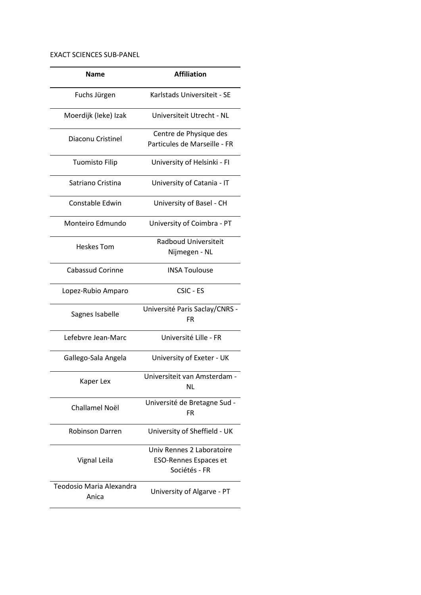## EXACT SCIENCES SUB-PANEL

| <b>Affiliation</b>                                                         |
|----------------------------------------------------------------------------|
| Karlstads Universiteit - SE                                                |
| Universiteit Utrecht - NL                                                  |
| Centre de Physique des<br>Particules de Marseille - FR                     |
| University of Helsinki - FI                                                |
| University of Catania - IT                                                 |
| University of Basel - CH                                                   |
| University of Coimbra - PT                                                 |
| <b>Radboud Universiteit</b><br>Nijmegen - NL                               |
| <b>INSA Toulouse</b>                                                       |
| CSIC - ES                                                                  |
| Université Paris Saclay/CNRS -<br><b>FR</b>                                |
| Université Lille - FR                                                      |
| University of Exeter - UK                                                  |
| Universiteit van Amsterdam -<br><b>NL</b>                                  |
| Université de Bretagne Sud -<br>FR                                         |
| University of Sheffield - UK                                               |
| Univ Rennes 2 Laboratoire<br><b>ESO-Rennes Espaces et</b><br>Sociétés - FR |
| University of Algarve - PT                                                 |
|                                                                            |